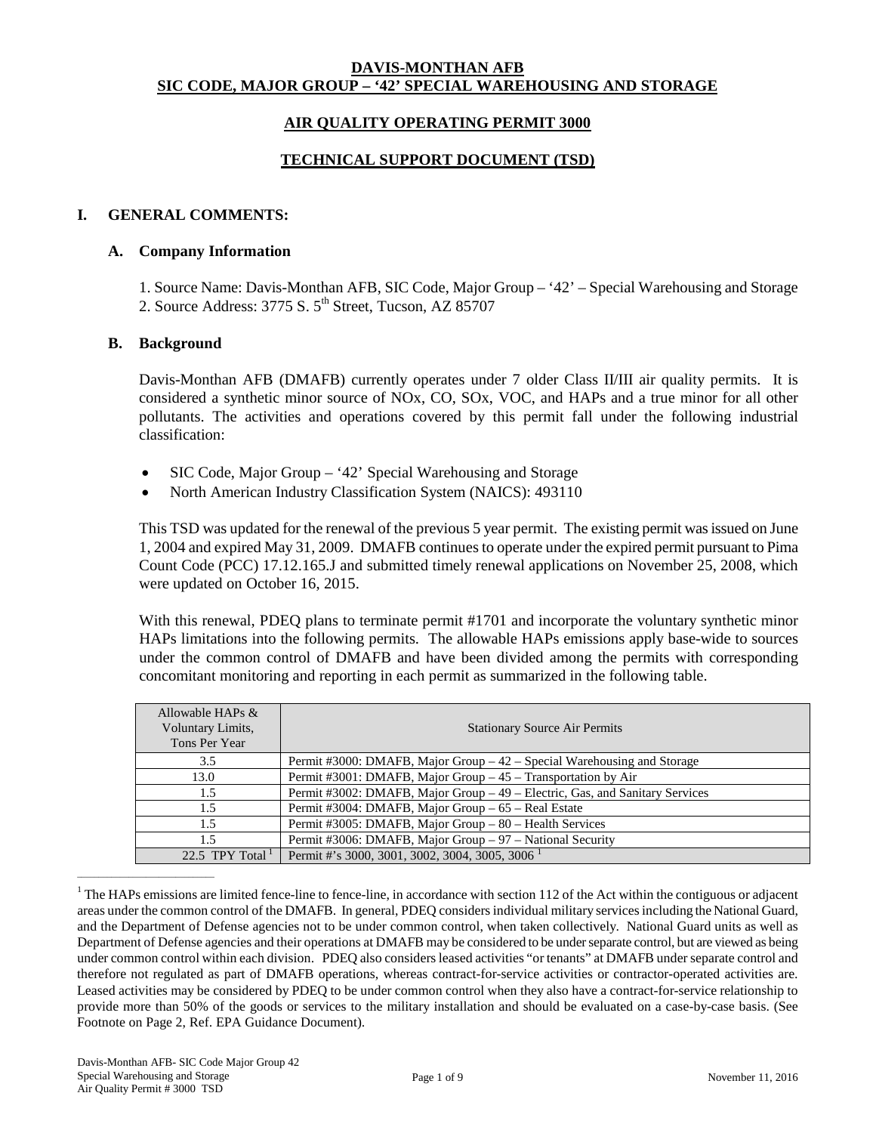## **DAVIS-MONTHAN AFB SIC CODE, MAJOR GROUP – '42' SPECIAL WAREHOUSING AND STORAGE**

## **AIR QUALITY OPERATING PERMIT 3000**

### **TECHNICAL SUPPORT DOCUMENT (TSD)**

#### **I. GENERAL COMMENTS:**

#### **A. Company Information**

1. Source Name: Davis-Monthan AFB, SIC Code, Major Group – '42' – Special Warehousing and Storage 2. Source Address:  $3775$  S.  $5<sup>th</sup>$  Street, Tucson, AZ 85707

#### **B. Background**

Davis-Monthan AFB (DMAFB) currently operates under 7 older Class II/III air quality permits. It is considered a synthetic minor source of NOx, CO, SOx, VOC, and HAPs and a true minor for all other pollutants. The activities and operations covered by this permit fall under the following industrial classification:

- SIC Code, Major Group '42' Special Warehousing and Storage
- North American Industry Classification System (NAICS): 493110

This TSD was updated for the renewal of the previous 5 year permit. The existing permit was issued on June 1, 2004 and expired May 31, 2009. DMAFB continues to operate under the expired permit pursuant to Pima Count Code (PCC) 17.12.165.J and submitted timely renewal applications on November 25, 2008, which were updated on October 16, 2015.

With this renewal, PDEQ plans to terminate permit #1701 and incorporate the voluntary synthetic minor HAPs limitations into the following permits. The allowable HAPs emissions apply base-wide to sources under the common control of DMAFB and have been divided among the permits with corresponding concomitant monitoring and reporting in each permit as summarized in the following table.

| Allowable HAPs &<br>Voluntary Limits,<br>Tons Per Year | <b>Stationary Source Air Permits</b>                                         |
|--------------------------------------------------------|------------------------------------------------------------------------------|
| 3.5                                                    | Permit #3000: DMAFB, Major Group $-42$ – Special Warehousing and Storage     |
| 13.0                                                   | Permit #3001: DMAFB, Major Group - 45 - Transportation by Air                |
| 1.5                                                    | Permit #3002: DMAFB, Major Group – 49 – Electric, Gas, and Sanitary Services |
| 1.5                                                    | Permit #3004: DMAFB, Major Group – 65 – Real Estate                          |
| 1.5                                                    | Permit #3005: DMAFB, Major Group - 80 - Health Services                      |
| 1.5                                                    | Permit #3006: DMAFB, Major Group - 97 - National Security                    |
| 22.5 TPY Total $^1$                                    | Permit #'s 3000, 3001, 3002, 3004, 3005, 3006 <sup>1</sup>                   |

 $1$ <sup>1</sup> The HAPs emissions are limited fence-line to fence-line, in accordance with section 112 of the Act within the contiguous or adjacent areas under the common control of the DMAFB. In general, PDEQ considersindividual military servicesincluding the National Guard, and the Department of Defense agencies not to be under common control, when taken collectively. National Guard units as well as Department of Defense agencies and their operations at DMAFB may be considered to be under separate control, but are viewed as being under common control within each division. PDEQ also considers leased activities "or tenants" at DMAFB under separate control and therefore not regulated as part of DMAFB operations, whereas contract-for-service activities or contractor-operated activities are. Leased activities may be considered by PDEQ to be under common control when they also have a contract-for-service relationship to provide more than 50% of the goods or services to the military installation and should be evaluated on a case-by-case basis. (See Footnote on Page 2, Ref. EPA Guidance Document).

 $\frac{1}{2}$  ,  $\frac{1}{2}$  ,  $\frac{1}{2}$  ,  $\frac{1}{2}$  ,  $\frac{1}{2}$  ,  $\frac{1}{2}$  ,  $\frac{1}{2}$  ,  $\frac{1}{2}$  ,  $\frac{1}{2}$  ,  $\frac{1}{2}$  ,  $\frac{1}{2}$  ,  $\frac{1}{2}$  ,  $\frac{1}{2}$  ,  $\frac{1}{2}$  ,  $\frac{1}{2}$  ,  $\frac{1}{2}$  ,  $\frac{1}{2}$  ,  $\frac{1}{2}$  ,  $\frac{1$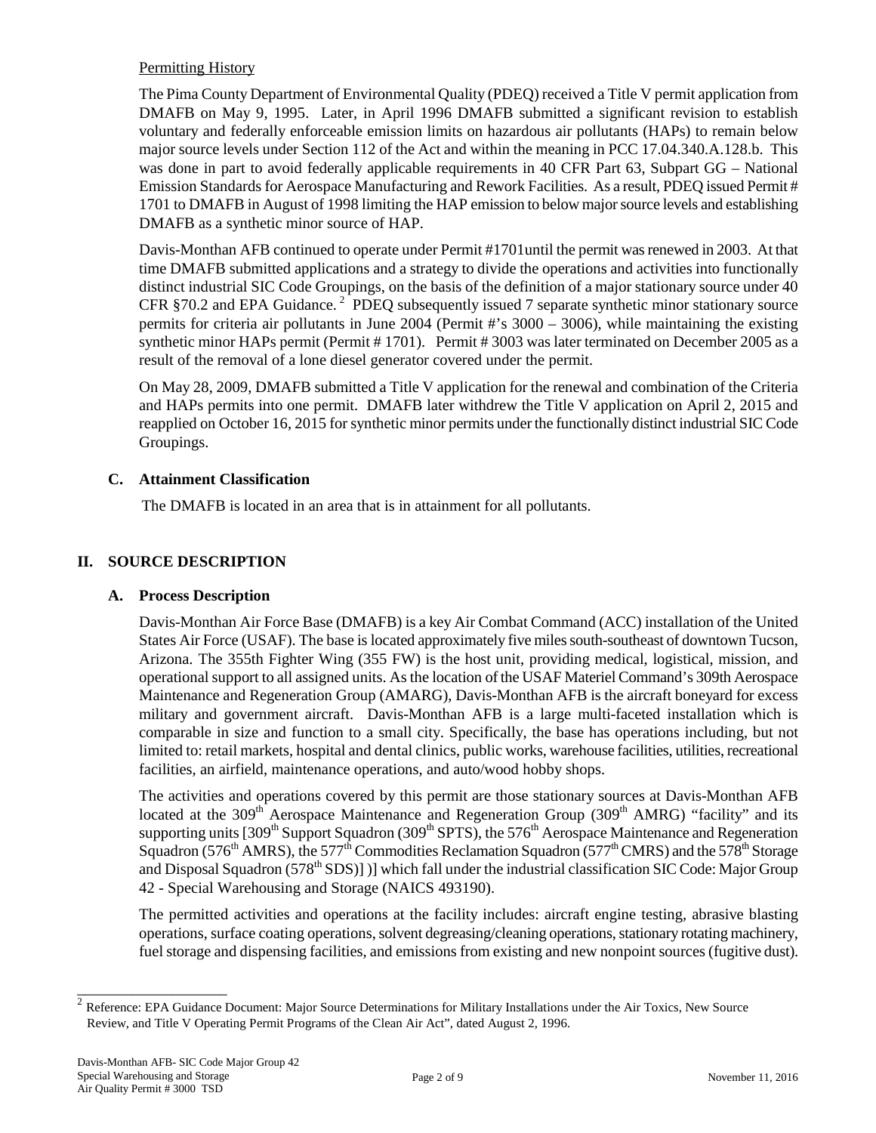## Permitting History

The Pima County Department of Environmental Quality (PDEQ) received a Title V permit application from DMAFB on May 9, 1995. Later, in April 1996 DMAFB submitted a significant revision to establish voluntary and federally enforceable emission limits on hazardous air pollutants (HAPs) to remain below major source levels under Section 112 of the Act and within the meaning in PCC 17.04.340.A.128.b. This was done in part to avoid federally applicable requirements in 40 CFR Part 63, Subpart GG – National Emission Standards for Aerospace Manufacturing and Rework Facilities. As a result, PDEQ issued Permit # 1701 to DMAFB in August of 1998 limiting the HAP emission to below major source levels and establishing DMAFB as a synthetic minor source of HAP.

Davis-Monthan AFB continued to operate under Permit #1701until the permit was renewed in 2003. At that time DMAFB submitted applications and a strategy to divide the operations and activities into functionally distinct industrial SIC Code Groupings, on the basis of the definition of a major stationary source under 40 CFR §70.2 and EPA Guidance.<sup>2</sup> PDEQ subsequently issued 7 separate synthetic minor stationary source permits for criteria air pollutants in June 2004 (Permit #'s 3000 – 3006), while maintaining the existing synthetic minor HAPs permit (Permit # 1701). Permit # 3003 was later terminated on December 2005 as a result of the removal of a lone diesel generator covered under the permit.

On May 28, 2009, DMAFB submitted a Title V application for the renewal and combination of the Criteria and HAPs permits into one permit. DMAFB later withdrew the Title V application on April 2, 2015 and reapplied on October 16, 2015 for synthetic minor permits under the functionally distinct industrial SIC Code Groupings.

## **C. Attainment Classification**

The DMAFB is located in an area that is in attainment for all pollutants.

## **II. SOURCE DESCRIPTION**

## **A. Process Description**

Davis-Monthan Air Force Base (DMAFB) is a key Air Combat Command (ACC) installation of the United States Air Force (USAF). The base is located approximately five miles south-southeast of downtown Tucson, Arizona. The 355th Fighter Wing (355 FW) is the host unit, providing medical, logistical, mission, and operational support to all assigned units. As the location of the USAF Materiel Command's 309th Aerospace Maintenance and Regeneration Group (AMARG), Davis-Monthan AFB is the aircraft boneyard for excess military and government aircraft. Davis-Monthan AFB is a large multi-faceted installation which is comparable in size and function to a small city. Specifically, the base has operations including, but not limited to: retail markets, hospital and dental clinics, public works, warehouse facilities, utilities, recreational facilities, an airfield, maintenance operations, and auto/wood hobby shops.

The activities and operations covered by this permit are those stationary sources at Davis-Monthan AFB located at the 309<sup>th</sup> Aerospace Maintenance and Regeneration Group (309<sup>th</sup> AMRG) "facility" and its supporting units [309<sup>th</sup> Support Squadron (309<sup>th</sup> SPTS), the 576<sup>th</sup> Aerospace Maintenance and Regeneration Squadron (576<sup>th</sup> AMRS), the 577<sup>th</sup> Commodities Reclamation Squadron (577<sup>th</sup> CMRS) and the 578<sup>th</sup> Storage and Disposal Squadron (578<sup>th</sup> SDS)])] which fall under the industrial classification SIC Code: Major Group 42 - Special Warehousing and Storage (NAICS 493190).

The permitted activities and operations at the facility includes: aircraft engine testing, abrasive blasting operations, surface coating operations, solvent degreasing/cleaning operations, stationary rotating machinery, fuel storage and dispensing facilities, and emissions from existing and new nonpoint sources (fugitive dust).

\_\_\_\_\_\_\_\_\_\_\_\_\_\_\_\_\_\_\_

<sup>2</sup> Reference: EPA Guidance Document: Major Source Determinations for Military Installations under the Air Toxics, New Source Review, and Title V Operating Permit Programs of the Clean Air Act", dated August 2, 1996.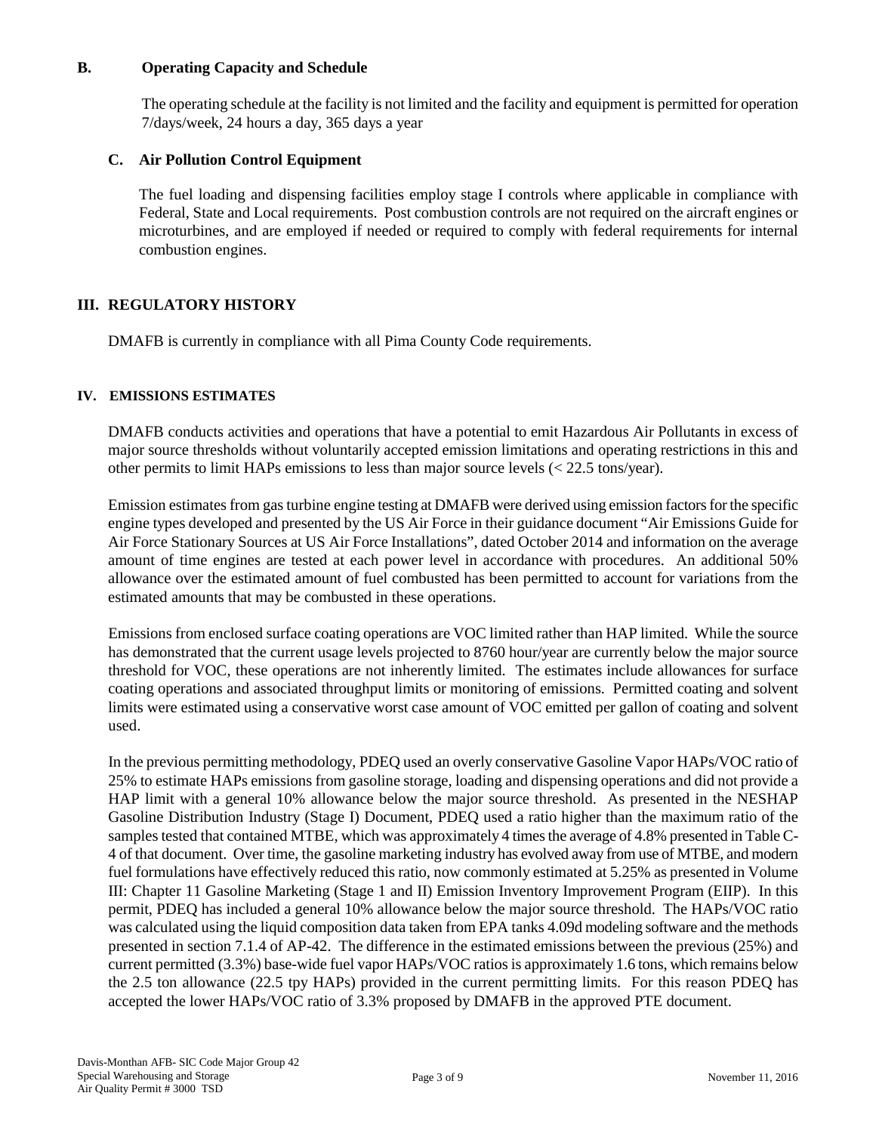## **B. Operating Capacity and Schedule**

The operating schedule at the facility is not limited and the facility and equipment is permitted for operation 7/days/week, 24 hours a day, 365 days a year

## **C. Air Pollution Control Equipment**

The fuel loading and dispensing facilities employ stage I controls where applicable in compliance with Federal, State and Local requirements. Post combustion controls are not required on the aircraft engines or microturbines, and are employed if needed or required to comply with federal requirements for internal combustion engines.

## **III. REGULATORY HISTORY**

DMAFB is currently in compliance with all Pima County Code requirements.

## **IV. EMISSIONS ESTIMATES**

DMAFB conducts activities and operations that have a potential to emit Hazardous Air Pollutants in excess of major source thresholds without voluntarily accepted emission limitations and operating restrictions in this and other permits to limit HAPs emissions to less than major source levels  $\langle \langle 22.5 \rangle$  tons/year).

Emission estimates from gas turbine engine testing at DMAFB were derived using emission factors for the specific engine types developed and presented by the US Air Force in their guidance document "Air Emissions Guide for Air Force Stationary Sources at US Air Force Installations", dated October 2014 and information on the average amount of time engines are tested at each power level in accordance with procedures. An additional 50% allowance over the estimated amount of fuel combusted has been permitted to account for variations from the estimated amounts that may be combusted in these operations.

Emissions from enclosed surface coating operations are VOC limited rather than HAP limited. While the source has demonstrated that the current usage levels projected to 8760 hour/year are currently below the major source threshold for VOC, these operations are not inherently limited. The estimates include allowances for surface coating operations and associated throughput limits or monitoring of emissions. Permitted coating and solvent limits were estimated using a conservative worst case amount of VOC emitted per gallon of coating and solvent used.

In the previous permitting methodology, PDEQ used an overly conservative Gasoline Vapor HAPs/VOC ratio of 25% to estimate HAPs emissions from gasoline storage, loading and dispensing operations and did not provide a HAP limit with a general 10% allowance below the major source threshold. As presented in the NESHAP Gasoline Distribution Industry (Stage I) Document, PDEQ used a ratio higher than the maximum ratio of the samples tested that contained MTBE, which was approximately 4 times the average of 4.8% presented in Table C-4 of that document. Over time, the gasoline marketing industry has evolved away from use of MTBE, and modern fuel formulations have effectively reduced this ratio, now commonly estimated at 5.25% as presented in Volume III: Chapter 11 Gasoline Marketing (Stage 1 and II) Emission Inventory Improvement Program (EIIP). In this permit, PDEQ has included a general 10% allowance below the major source threshold. The HAPs/VOC ratio was calculated using the liquid composition data taken from EPA tanks 4.09d modeling software and the methods presented in section 7.1.4 of AP-42. The difference in the estimated emissions between the previous (25%) and current permitted (3.3%) base-wide fuel vapor HAPs/VOC ratiosis approximately 1.6 tons, which remains below the 2.5 ton allowance (22.5 tpy HAPs) provided in the current permitting limits. For this reason PDEQ has accepted the lower HAPs/VOC ratio of 3.3% proposed by DMAFB in the approved PTE document.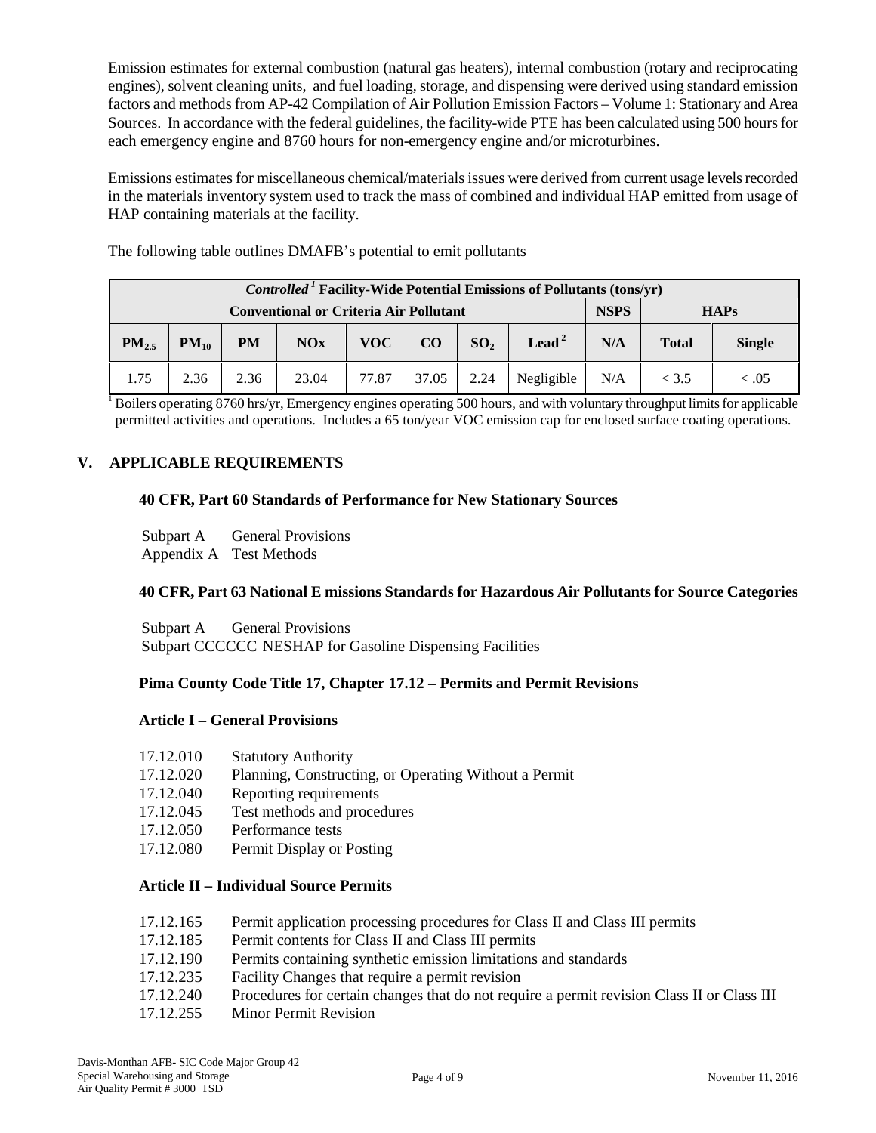Emission estimates for external combustion (natural gas heaters), internal combustion (rotary and reciprocating engines), solvent cleaning units, and fuel loading, storage, and dispensing were derived using standard emission factors and methods from AP-42 Compilation of Air Pollution Emission Factors – Volume 1: Stationary and Area Sources. In accordance with the federal guidelines, the facility-wide PTE has been calculated using 500 hours for each emergency engine and 8760 hours for non-emergency engine and/or microturbines.

Emissions estimates for miscellaneous chemical/materials issues were derived from current usage levels recorded in the materials inventory system used to track the mass of combined and individual HAP emitted from usage of HAP containing materials at the facility.

The following table outlines DMAFB's potential to emit pollutants

| <i>Controlled</i> <sup>1</sup> Facility-Wide Potential Emissions of Pollutants (tons/yr) |           |           |       |              |             |                 |                   |     |              |               |
|------------------------------------------------------------------------------------------|-----------|-----------|-------|--------------|-------------|-----------------|-------------------|-----|--------------|---------------|
| <b>Conventional or Criteria Air Pollutant</b>                                            |           |           |       |              | <b>NSPS</b> |                 | <b>HAPs</b>       |     |              |               |
| $PM_{2.5}$                                                                               | $PM_{10}$ | <b>PM</b> | NOx   | VOC <b>N</b> | CO          | SO <sub>2</sub> | Lead <sup>2</sup> | N/A | <b>Total</b> | <b>Single</b> |
| 1.75                                                                                     | 2.36      | 2.36      | 23.04 | 77.87        | 37.05       | 2.24            | Negligible        | N/A | < 3.5        | < 0.05        |

 $1$  Boilers operating 8760 hrs/yr, Emergency engines operating 500 hours, and with voluntary throughput limits for applicable permitted activities and operations. Includes a 65 ton/year VOC emission cap for enclosed surface coating operations.

## **V. APPLICABLE REQUIREMENTS**

## **40 CFR, Part 60 Standards of Performance for New Stationary Sources**

Subpart A General Provisions Appendix A Test Methods

# **40 CFR, Part 63 National E missions Standards for Hazardous Air Pollutants for Source Categories**

Subpart A General Provisions Subpart CCCCCC NESHAP for Gasoline Dispensing Facilities

## **Pima County Code Title 17, Chapter 17.12 – Permits and Permit Revisions**

#### **Article I – General Provisions**

| 17.12.010 | <b>Statutory Authority</b> |
|-----------|----------------------------|
|-----------|----------------------------|

- 17.12.020 Planning, Constructing, or Operating Without a Permit
- 17.12.040 Reporting requirements
- 17.12.045 Test methods and procedures
- 17.12.050 Performance tests
- 17.12.080 Permit Display or Posting

## **Article II – Individual Source Permits**

- 17.12.165 Permit application processing procedures for Class II and Class III permits
- 17.12.185 Permit contents for Class II and Class III permits
- 17.12.190 Permits containing synthetic emission limitations and standards
- 17.12.235 Facility Changes that require a permit revision
- 17.12.240 Procedures for certain changes that do not require a permit revision Class II or Class III
- 17.12.255 Minor Permit Revision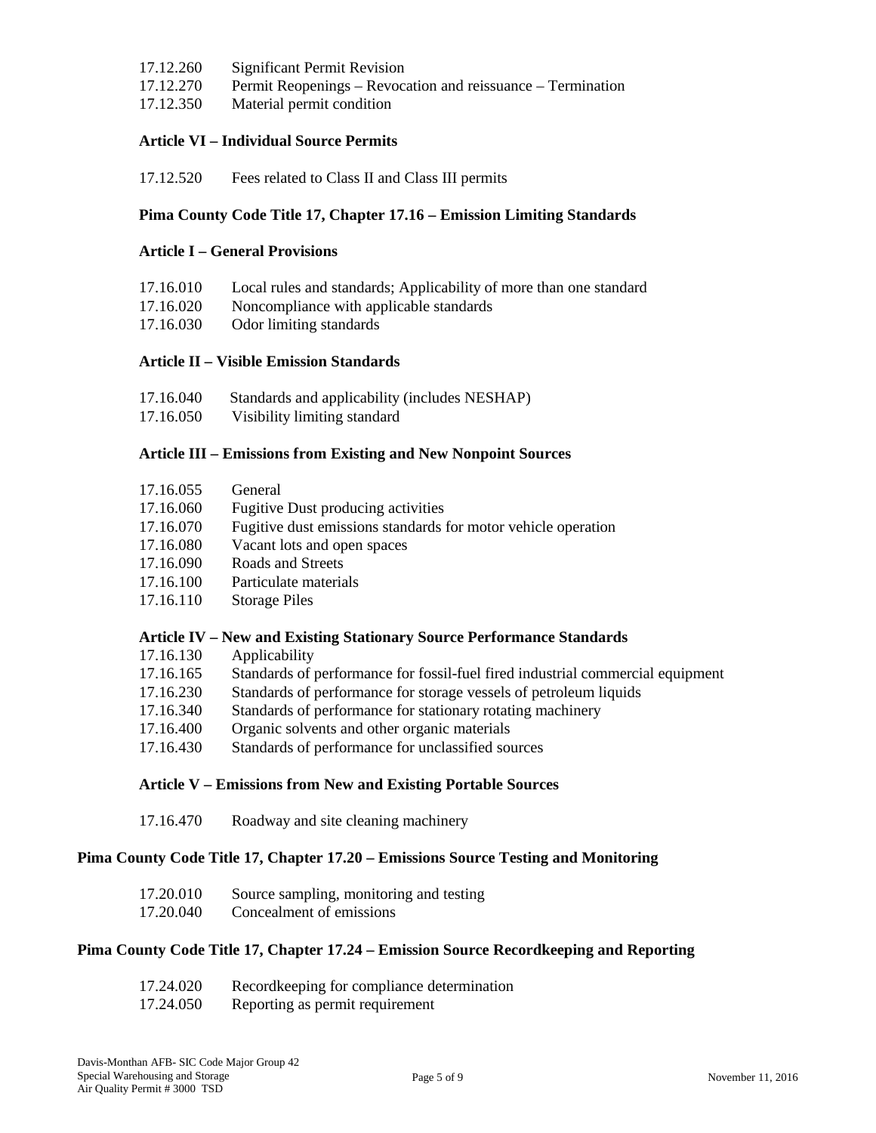- 17.12.260 Significant Permit Revision
- 17.12.270 Permit Reopenings Revocation and reissuance Termination
- 17.12.350 Material permit condition

## **Article VI – Individual Source Permits**

17.12.520 Fees related to Class II and Class III permits

### **Pima County Code Title 17, Chapter 17.16 – Emission Limiting Standards**

## **Article I – General Provisions**

| 17.16.010 | Local rules and standards; Applicability of more than one standard |
|-----------|--------------------------------------------------------------------|
| 17.16.020 | Noncompliance with applicable standards                            |
| 17.16.030 | Odor limiting standards                                            |

## **Article II – Visible Emission Standards**

| 17.16.040 |  |  | Standards and applicability (includes NESHAP) |
|-----------|--|--|-----------------------------------------------|
|           |  |  |                                               |

17.16.050 Visibility limiting standard

### **Article III – Emissions from Existing and New Nonpoint Sources**

| 17.16.055 | General                                                               |
|-----------|-----------------------------------------------------------------------|
| 17.16.060 | <b>Fugitive Dust producing activities</b>                             |
| 17.16.070 | Fugitive dust emissions standards for motor vehicle operation         |
| 17.16.080 | Vacant lots and open spaces                                           |
| 17.16.090 | Roads and Streets                                                     |
| 17.16.100 | Particulate materials                                                 |
| 17.16.110 | <b>Storage Piles</b>                                                  |
|           |                                                                       |
|           | Article IV – New and Existing Stationary Source Performance Standards |

| 17.16.130 | Applicability                                                                  |
|-----------|--------------------------------------------------------------------------------|
| 17.16.165 | Standards of performance for fossil-fuel fired industrial commercial equipment |
| 17.16.230 | Standards of performance for storage vessels of petroleum liquids              |
| 17.16.340 | Standards of performance for stationary rotating machinery                     |
| 17.16.400 | Organic solvents and other organic materials                                   |
| 17.16.430 | Standards of performance for unclassified sources                              |

#### **Article V – Emissions from New and Existing Portable Sources**

17.16.470 Roadway and site cleaning machinery

## **Pima County Code Title 17, Chapter 17.20 – Emissions Source Testing and Monitoring**

| 17.20.010 | Source sampling, monitoring and testing |
|-----------|-----------------------------------------|
| 17.20.040 | Concealment of emissions                |

#### **Pima County Code Title 17, Chapter 17.24 – Emission Source Recordkeeping and Reporting**

| 17.24.020 | Recordkeeping for compliance determination |
|-----------|--------------------------------------------|
| 17.24.050 | Reporting as permit requirement            |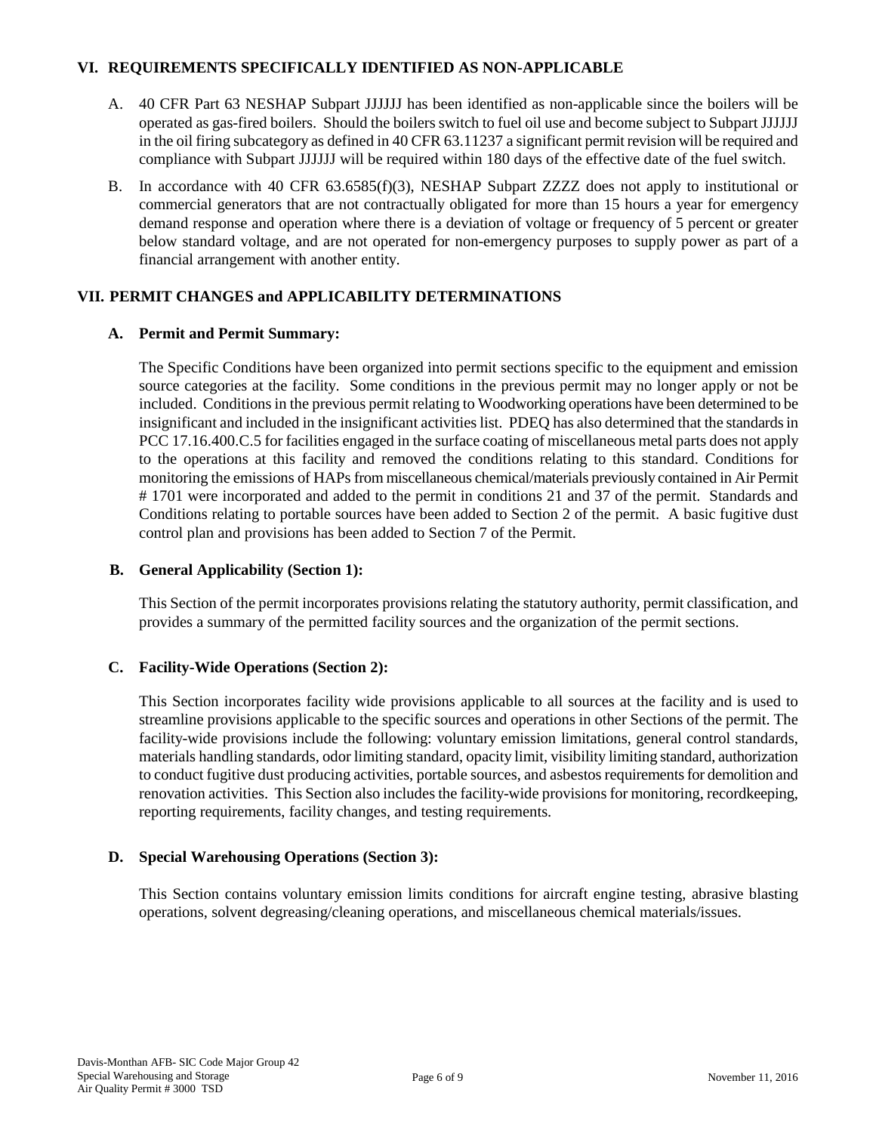## **VI. REQUIREMENTS SPECIFICALLY IDENTIFIED AS NON-APPLICABLE**

- A. 40 CFR Part 63 NESHAP Subpart JJJJJJ has been identified as non-applicable since the boilers will be operated as gas-fired boilers. Should the boilers switch to fuel oil use and become subject to Subpart JJJJJJ in the oil firing subcategory as defined in 40 CFR 63.11237 a significant permit revision will be required and compliance with Subpart JJJJJJ will be required within 180 days of the effective date of the fuel switch.
- B. In accordance with 40 CFR 63.6585(f)(3), NESHAP Subpart ZZZZ does not apply to institutional or commercial generators that are not contractually obligated for more than 15 hours a year for emergency demand response and operation where there is a deviation of voltage or frequency of 5 percent or greater below standard voltage, and are not operated for non-emergency purposes to supply power as part of a financial arrangement with another entity.

# **VII. PERMIT CHANGES and APPLICABILITY DETERMINATIONS**

# **A. Permit and Permit Summary:**

The Specific Conditions have been organized into permit sections specific to the equipment and emission source categories at the facility. Some conditions in the previous permit may no longer apply or not be included. Conditions in the previous permit relating to Woodworking operations have been determined to be insignificant and included in the insignificant activities list. PDEQ has also determined that the standards in PCC 17.16.400.C.5 for facilities engaged in the surface coating of miscellaneous metal parts does not apply to the operations at this facility and removed the conditions relating to this standard. Conditions for monitoring the emissions of HAPs from miscellaneous chemical/materials previously contained in Air Permit # 1701 were incorporated and added to the permit in conditions 21 and 37 of the permit. Standards and Conditions relating to portable sources have been added to Section 2 of the permit. A basic fugitive dust control plan and provisions has been added to Section 7 of the Permit.

## **B. General Applicability (Section 1):**

This Section of the permit incorporates provisions relating the statutory authority, permit classification, and provides a summary of the permitted facility sources and the organization of the permit sections.

## **C. Facility-Wide Operations (Section 2):**

This Section incorporates facility wide provisions applicable to all sources at the facility and is used to streamline provisions applicable to the specific sources and operations in other Sections of the permit. The facility-wide provisions include the following: voluntary emission limitations, general control standards, materials handling standards, odor limiting standard, opacity limit, visibility limiting standard, authorization to conduct fugitive dust producing activities, portable sources, and asbestos requirements for demolition and renovation activities. This Section also includesthe facility-wide provisions for monitoring, recordkeeping, reporting requirements, facility changes, and testing requirements.

## **D. Special Warehousing Operations (Section 3):**

This Section contains voluntary emission limits conditions for aircraft engine testing, abrasive blasting operations, solvent degreasing/cleaning operations, and miscellaneous chemical materials/issues.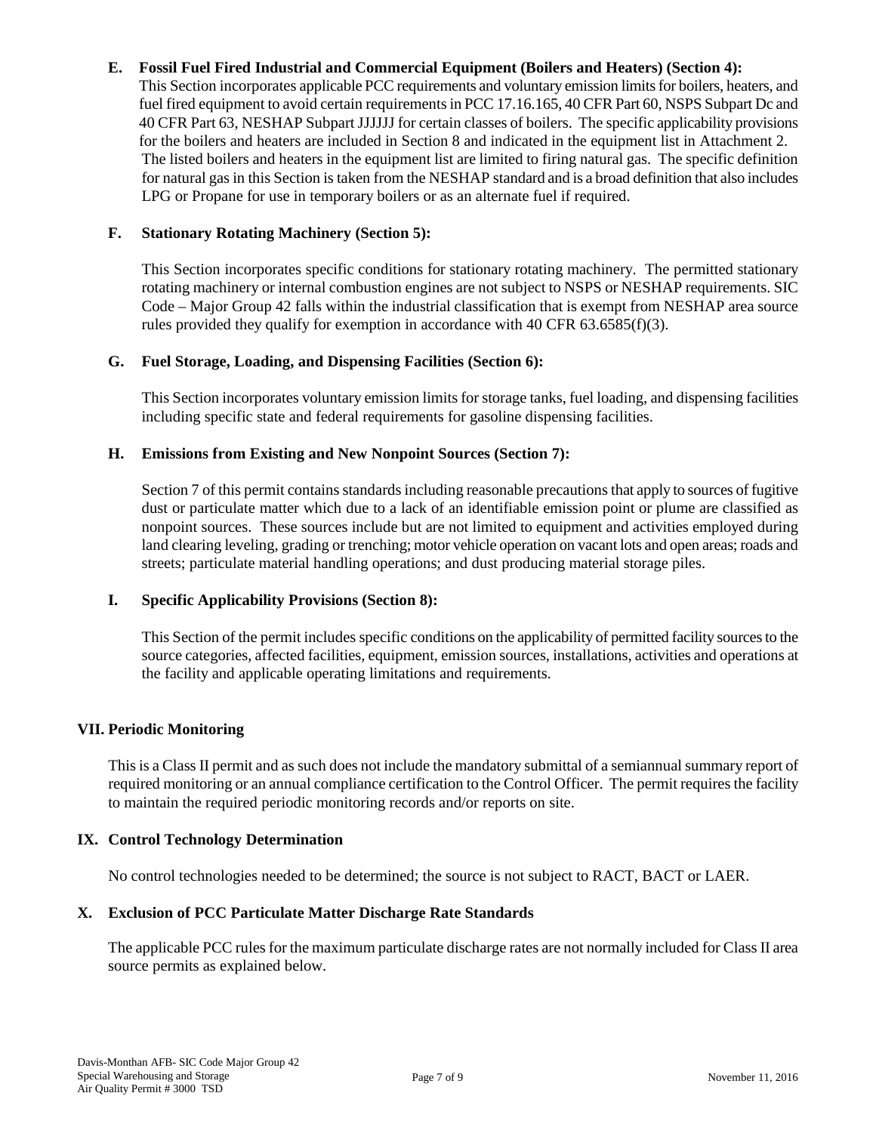## **E. Fossil Fuel Fired Industrial and Commercial Equipment (Boilers and Heaters) (Section 4):**

This Section incorporates applicable PCC requirements and voluntary emission limitsfor boilers, heaters, and fuel fired equipment to avoid certain requirements in PCC 17.16.165, 40 CFR Part 60, NSPS Subpart Dc and 40 CFR Part 63, NESHAP Subpart JJJJJJ for certain classes of boilers. The specific applicability provisions for the boilers and heaters are included in Section 8 and indicated in the equipment list in Attachment 2. The listed boilers and heaters in the equipment list are limited to firing natural gas. The specific definition for natural gas in this Section is taken from the NESHAP standard and is a broad definition that also includes LPG or Propane for use in temporary boilers or as an alternate fuel if required.

## **F. Stationary Rotating Machinery (Section 5):**

This Section incorporates specific conditions for stationary rotating machinery. The permitted stationary rotating machinery or internal combustion engines are not subject to NSPS or NESHAP requirements. SIC Code – Major Group 42 falls within the industrial classification that is exempt from NESHAP area source rules provided they qualify for exemption in accordance with 40 CFR 63.6585(f)(3).

## **G. Fuel Storage, Loading, and Dispensing Facilities (Section 6):**

This Section incorporates voluntary emission limits for storage tanks, fuel loading, and dispensing facilities including specific state and federal requirements for gasoline dispensing facilities.

## **H. Emissions from Existing and New Nonpoint Sources (Section 7):**

Section 7 of this permit contains standards including reasonable precautions that apply to sources of fugitive dust or particulate matter which due to a lack of an identifiable emission point or plume are classified as nonpoint sources. These sources include but are not limited to equipment and activities employed during land clearing leveling, grading or trenching; motor vehicle operation on vacant lots and open areas; roads and streets; particulate material handling operations; and dust producing material storage piles.

## **I. Specific Applicability Provisions (Section 8):**

This Section of the permit includes specific conditions on the applicability of permitted facility sources to the source categories, affected facilities, equipment, emission sources, installations, activities and operations at the facility and applicable operating limitations and requirements.

## **VII. Periodic Monitoring**

This is a Class II permit and as such does not include the mandatory submittal of a semiannual summary report of required monitoring or an annual compliance certification to the Control Officer. The permit requires the facility to maintain the required periodic monitoring records and/or reports on site.

## **IX. Control Technology Determination**

No control technologies needed to be determined; the source is not subject to RACT, BACT or LAER.

## **X. Exclusion of PCC Particulate Matter Discharge Rate Standards**

The applicable PCC rules for the maximum particulate discharge rates are not normally included for Class II area source permits as explained below.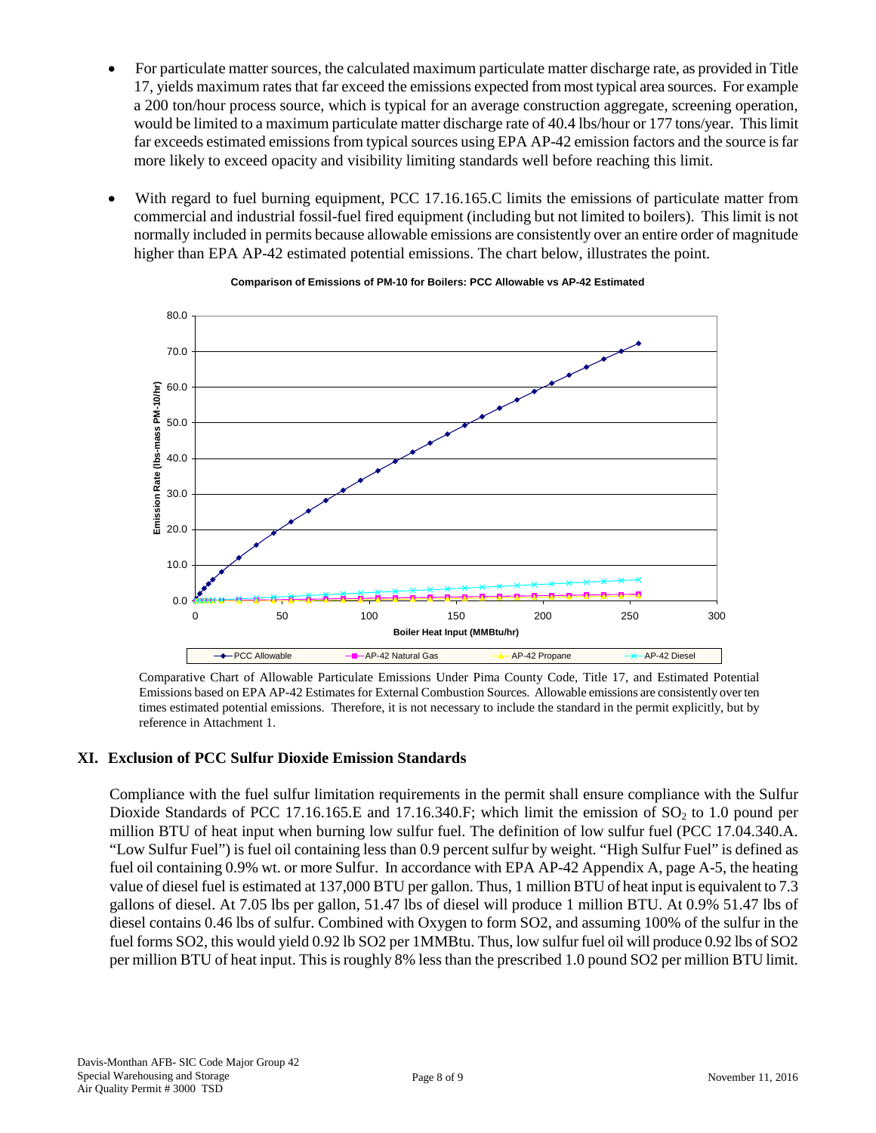- For particulate matter sources, the calculated maximum particulate matter discharge rate, as provided in Title 17, yields maximum rates that far exceed the emissions expected from most typical area sources. For example a 200 ton/hour process source, which is typical for an average construction aggregate, screening operation, would be limited to a maximum particulate matter discharge rate of 40.4 lbs/hour or 177 tons/year. This limit far exceeds estimated emissions from typical sources using EPA AP-42 emission factors and the source is far more likely to exceed opacity and visibility limiting standards well before reaching this limit.
- With regard to fuel burning equipment, PCC 17.16.165.C limits the emissions of particulate matter from commercial and industrial fossil-fuel fired equipment (including but not limited to boilers). This limit is not normally included in permits because allowable emissions are consistently over an entire order of magnitude higher than EPA AP-42 estimated potential emissions. The chart below, illustrates the point.



#### **Comparison of Emissions of PM-10 for Boilers: PCC Allowable vs AP-42 Estimated**

Comparative Chart of Allowable Particulate Emissions Under Pima County Code, Title 17, and Estimated Potential Emissions based on EPA AP-42 Estimates for External Combustion Sources. Allowable emissions are consistently over ten times estimated potential emissions. Therefore, it is not necessary to include the standard in the permit explicitly, but by reference in Attachment 1.

## **XI. Exclusion of PCC Sulfur Dioxide Emission Standards**

Compliance with the fuel sulfur limitation requirements in the permit shall ensure compliance with the Sulfur Dioxide Standards of PCC 17.16.165.E and 17.16.340.F; which limit the emission of  $SO_2$  to 1.0 pound per million BTU of heat input when burning low sulfur fuel. The definition of low sulfur fuel (PCC 17.04.340.A. "Low Sulfur Fuel") is fuel oil containing less than 0.9 percent sulfur by weight. "High Sulfur Fuel" is defined as fuel oil containing 0.9% wt. or more Sulfur. In accordance with EPA AP-42 Appendix A, page A-5, the heating value of diesel fuel is estimated at 137,000 BTU per gallon. Thus, 1 million BTU of heat input is equivalent to 7.3 gallons of diesel. At 7.05 lbs per gallon, 51.47 lbs of diesel will produce 1 million BTU. At 0.9% 51.47 lbs of diesel contains 0.46 lbs of sulfur. Combined with Oxygen to form SO2, and assuming 100% of the sulfur in the fuel forms SO2, this would yield 0.92 lb SO2 per 1MMBtu. Thus, low sulfur fuel oil will produce 0.92 lbs of SO2 per million BTU of heat input. This is roughly 8% less than the prescribed 1.0 pound SO2 per million BTU limit.